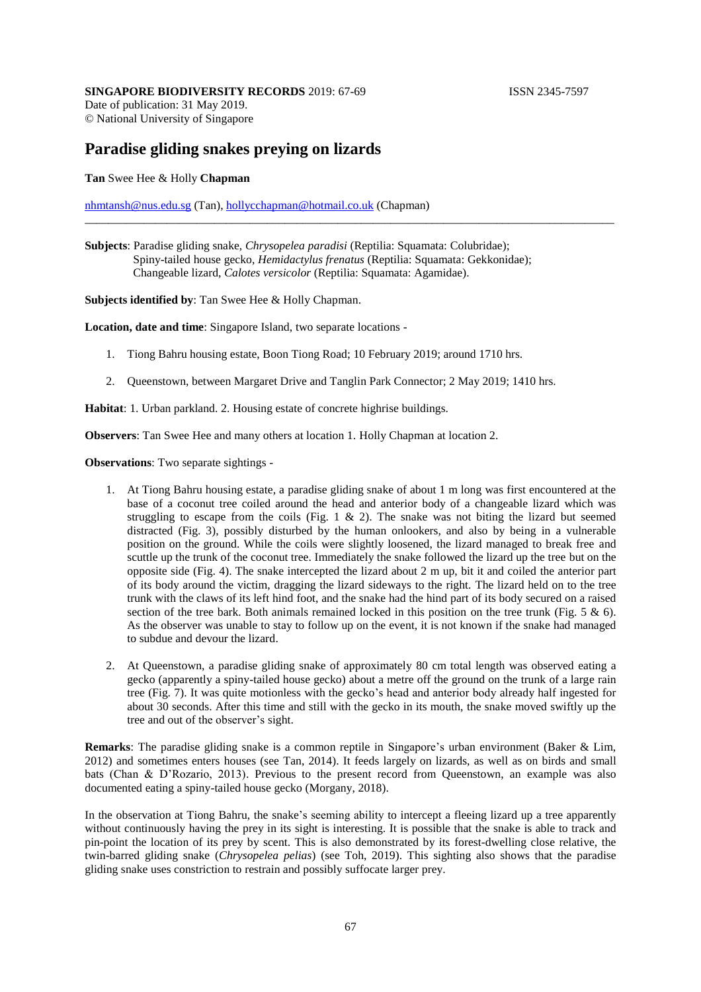© National University of Singapore

## **Paradise gliding snakes preying on lizards**

## **Tan** Swee Hee & Holly **Chapman**

[nhmtansh@nus.edu.sg](mailto:nhmtansh@nus.edu.sg) (Tan), [hollycchapman@hotmail.co.uk](mailto:hollycchapman@hotmail.co.uk) (Chapman)

\_\_\_\_\_\_\_\_\_\_\_\_\_\_\_\_\_\_\_\_\_\_\_\_\_\_\_\_\_\_\_\_\_\_\_\_\_\_\_\_\_\_\_\_\_\_\_\_\_\_\_\_\_\_\_\_\_\_\_\_\_\_\_\_\_\_\_\_\_\_\_\_\_\_\_\_\_\_\_\_\_\_\_\_\_\_\_\_\_\_

**Subjects identified by**: Tan Swee Hee & Holly Chapman.

**Location, date and time**: Singapore Island, two separate locations -

- 1. Tiong Bahru housing estate, Boon Tiong Road; 10 February 2019; around 1710 hrs.
- 2. Queenstown, between Margaret Drive and Tanglin Park Connector; 2 May 2019; 1410 hrs.

**Habitat**: 1. Urban parkland. 2. Housing estate of concrete highrise buildings.

**Observers**: Tan Swee Hee and many others at location 1. Holly Chapman at location 2.

**Observations**: Two separate sightings -

- 1. At Tiong Bahru housing estate, a paradise gliding snake of about 1 m long was first encountered at the base of a coconut tree coiled around the head and anterior body of a changeable lizard which was struggling to escape from the coils (Fig.  $1 \& 2$ ). The snake was not biting the lizard but seemed distracted (Fig. 3), possibly disturbed by the human onlookers, and also by being in a vulnerable position on the ground. While the coils were slightly loosened, the lizard managed to break free and scuttle up the trunk of the coconut tree. Immediately the snake followed the lizard up the tree but on the opposite side (Fig. 4). The snake intercepted the lizard about 2 m up, bit it and coiled the anterior part of its body around the victim, dragging the lizard sideways to the right. The lizard held on to the tree trunk with the claws of its left hind foot, and the snake had the hind part of its body secured on a raised section of the tree bark. Both animals remained locked in this position on the tree trunk (Fig. 5  $\&$  6). As the observer was unable to stay to follow up on the event, it is not known if the snake had managed to subdue and devour the lizard.
- 2. At Queenstown, a paradise gliding snake of approximately 80 cm total length was observed eating a gecko (apparently a spiny-tailed house gecko) about a metre off the ground on the trunk of a large rain tree (Fig. 7). It was quite motionless with the gecko's head and anterior body already half ingested for about 30 seconds. After this time and still with the gecko in its mouth, the snake moved swiftly up the tree and out of the observer's sight.

**Remarks**: The paradise gliding snake is a common reptile in Singapore's urban environment (Baker & Lim, 2012) and sometimes enters houses (see Tan, 2014). It feeds largely on lizards, as well as on birds and small bats (Chan & D'Rozario, 2013). Previous to the present record from Queenstown, an example was also documented eating a spiny-tailed house gecko (Morgany, 2018).

In the observation at Tiong Bahru, the snake's seeming ability to intercept a fleeing lizard up a tree apparently without continuously having the prey in its sight is interesting. It is possible that the snake is able to track and pin-point the location of its prey by scent. This is also demonstrated by its forest-dwelling close relative, the twin-barred gliding snake (*Chrysopelea pelias*) (see Toh, 2019). This sighting also shows that the paradise gliding snake uses constriction to restrain and possibly suffocate larger prey.

**Subjects**: Paradise gliding snake, *Chrysopelea paradisi* (Reptilia: Squamata: Colubridae); Spiny-tailed house gecko, *Hemidactylus frenatus* (Reptilia: Squamata: Gekkonidae); Changeable lizard, *Calotes versicolor* (Reptilia: Squamata: Agamidae).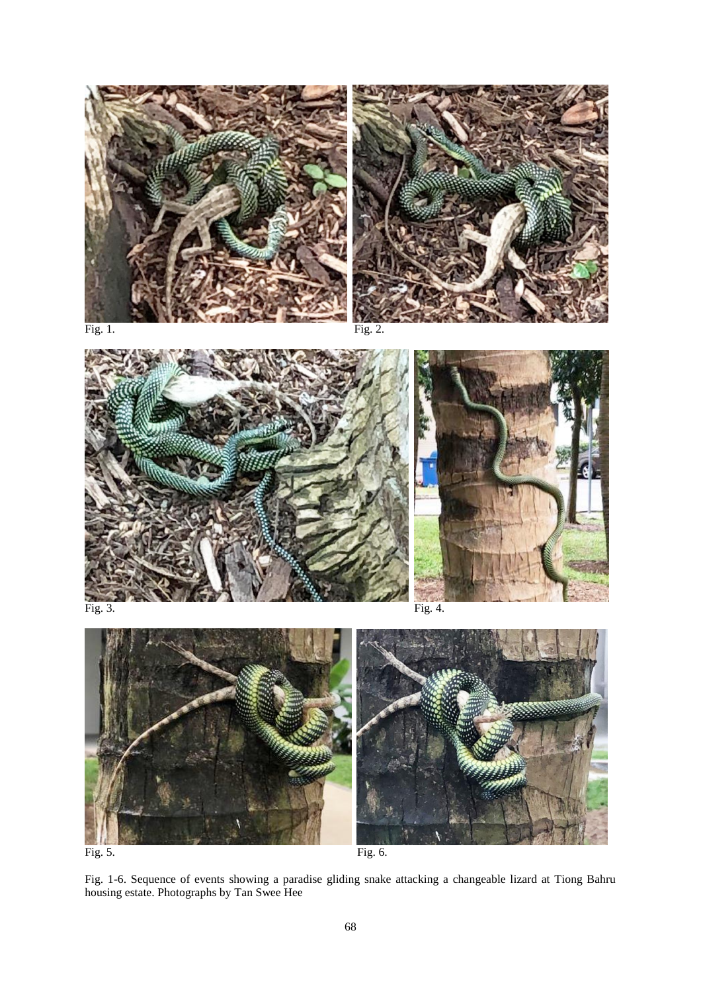



Fig. 1. Fig. 2.





Fig. 5. Fig. 6.

Fig. 1-6. Sequence of events showing a paradise gliding snake attacking a changeable lizard at Tiong Bahru housing estate. Photographs by Tan Swee Hee